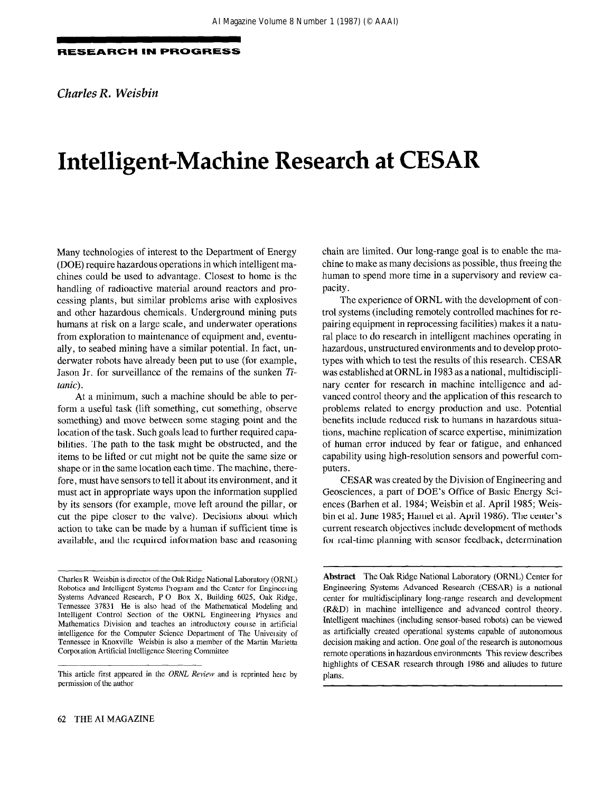Charles R. Weisbin

# Intelligent-Machine Research at CESAR

Many technologies of interest to the Department of Energy (DOE) require hazardous operations in which intelligent machines could be used to advantage. Closest to home is the handling of radioactive material around reactors and processing plants, but similar problems arise with explosives and other hazardous chemicals. Underground mining puts humans at risk on a large scale, and underwater operations from exploration to maintenance of equipment and, eventually, to seabed mining have a similar potential. In fact, underwater robots have already been put to use (for example, Jason Jr. for surveillance of the remains of the sunken Titanic).

At a minimum, such a machine should be able to perform a useful task (lift something, cut something, observe something) and move between some staging point and the location of the task. Such goals lead to further required capabilities. The path to the task might be obstructed, and the items to be lifted or cut might not be quite the same size or shape or in the same location each time. The machine, therefore, must have sensors to tell it about its environment, and it must act in appropriate ways upon the information supplied by its sensors (for example, move left around the pillar, or cut the pipe closer to the valve). Decisions about which action to take can be made by a human if sufficient time is available, and the required information base and reasoning

chain are limited. Our long-range goal is to enable the machine to make as many decisions as possible, thus freeing the human to spend more time in a supervisory and review capacity.

The experience of ORNL with the development of control systems (including remotely controlled machines for repairing equipment in reprocessing facilities) makes it a natural place to do research in intelligent machines operating in hazardous, unstructured environments and to develop prototypes with which to test the results of this research. CESAR was established at ORNL in 1983 as a national, multidisciplinary center for research in machine intelligence and advanced control theory and the application of this research to problems related to energy production and use. Potential benefits include reduced risk to humans in hazardous situations, machine replication of scarce expertise, minimization of human error induced by fear or fatigue, and enhanced capability using high-resolution sensors and powerful computers.

CESAR was created by the Division of Engineering and Geosciences, a part of DOE's Office of Basic Energy Sciences (Barhen et al. 1984; Weisbin et al. April 1985; Weisbin et al. June 1985; Hamel et al. April 1986). The center's current research objectives include development of methods for real-time planning with sensor feedback, determination

Abstract The Oak Ridge National Laboratory (ORNL) Center for Engineering Systems Advanced Research (CESAR) is a national center for multidisciplinary long-range research and development (R&D) in machine intelligence and advanced control theory. Intelligent machines (including sensor-based robots) can be viewed as artificially created operational systems capable of autonomous decision making and action. One goal of the research is autonomous remote operations in hazardous environments This review describes highlights of CESAR research through 1986 and alludes to future plans.

Charles R Weisbin is director of the Oak Ridge National Laboratory (ORNL) Robotics and Intelligent Systems Program and the Center for Engineering Systems Advanced Research, P 0 Box X, Building 6025, Oak Ridge, Tennessee 37831 He is also head of the Mathematical Modeling and Intelligent Control Section of the ORNL Engineeting Physics and Mathematics Division and teaches an introductory comse in artificial intelligence for the Computer Science Department of The Univetsity of Tennessee in Knoxville Weisbin is also a member of the Martin Marietta Corporation Artificial Intelligence Steering Committee

This article first appeared in the ORNL Review and is reprinted here by permission of the author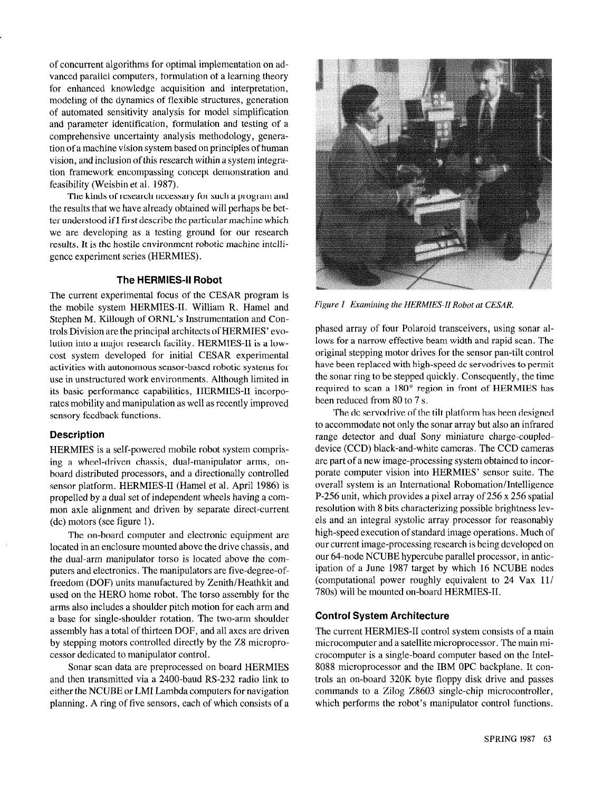of concurrent algorithms for optimal implementation on advanced parallel computers, formulation of a learning theory for enhanced knowledge acquisition and interpretation, modeling of the dynamics of flexible structures, generation of automated sensitivity analysis for model simplification and parameter identification, formulation and testing of a comprehensive uncertainty analysis methodology, generation of a machine vision system based on principles of human vision, and inclusion of this research within a system integration framework encompassing concept demonstration and feasibility (Weisbin et al. 1987).

The kinds of research necessary for such a program and the results that we have already obtained will perhaps be better understood if I first describe the particular machine which we are developing as a testing ground for our research results. It is the hostile environment robotic machine intelligence experiment series (HERMIES).

## The HERMIES-II Robot

The current experimental focus of the CESAR program is the mobile system HERMIES-II. William R. Hamel and Stephen M. Killough of ORNL's Instrumentation and Controls Division are the principal architects of HERMIES' evolution into a major research facility. HERMIES-II is a lowcost system developed for initial CESAR experimental activities with autonomous sensor-based robotic systems for use in unstructured work environments. Although limited in its basic performance capabilities, HERMIES-II incorporates mobility and manipulation as well as recently improved sensory feedback functions.

## Description

HERMIES is a self-powered mobile robot system comprising a wheel-driven chassis, dual-manipulator arms, onboard distributed processors, and a directionally controlled sensor platform. HERMIES-II (Hamel et al. April 1986) is propelled by a dual set of independent wheels having a common axle alignment and driven by separate direct-current (dc) motors (see figure 1).

The on-board computer and electronic equipment are located in an enclosure mounted above the drive chassis, and the dual-arm manipulator torso is located above the computers and electronics. The manipulators are five-degree-offreedom (DOF) units manufactured by Zenith/Heathkit and used on the HERO home robot. The torso assembly for the arms also includes a shoulder pitch motion for each arm and a base for single-shoulder rotation. The two-arm shoulder assembly has a total of thirteen DOF, and all axes are driven by stepping motors controlled directly by the 28 microprocessor dedicated to manipulator control.

Sonar scan data are preprocessed on board HERMIES and then transmitted via a 2400-baud RS-232 radio link to either the NCUBE or LMI Lambda computers for navigation planning. A ring of five sensors, each of which consists of a



Figure 1 Examining the HERMES-II Robot at CESAR.

phased array of four Polaroid transceivers, using sonar allows for a narrow effective beam width and rapid scan. The original stepping motor drives for the sensor pan-tilt control have been replaced with high-speed dc servodrives to permit the sonar ring to be stepped quickly. Consequently, the time required to scan a 180° region in front of HERMIES has been reduced from 80 to 7 s.

The dc servodrive of the tilt platform has been designed to accommodate not only the sonar array but also an infrared range detector and dual Sony miniature charge-coupleddevice (CCD) black-and-white cameras. The CCD cameras are part of a new image-processing system obtained to incorporate computer vision into HERMIES' sensor suite. The overall system is an International Robomation/Intelligence P-256 unit, which provides a pixel array of 256 x 256 spatial resolution with 8 bits characterizing possible brightness levels and an integral systolic array processor for reasonably high-speed execution of standard image operations. Much of our current image-processing research is being developed on our 64-node NCUBE hypercube parallel processor, in anticipation of a June 1987 target by which 16 NCUBE nodes (computational power roughly equivalent to 24 Vax ll/ 780s) will be mounted on-board HERMIES-II.

## Control System Architecture

The current HERMIES-II control system consists of a main microcomputer and a satellite microprocessor. The main microcomputer is a single-board computer based on the Intel-8088 microprocessor and the IBM OPC backplane. It controls an on-board 320K byte floppy disk drive and passes commands to a Zilog 28603 single-chip microcontroller, which performs the robot's manipulator control functions.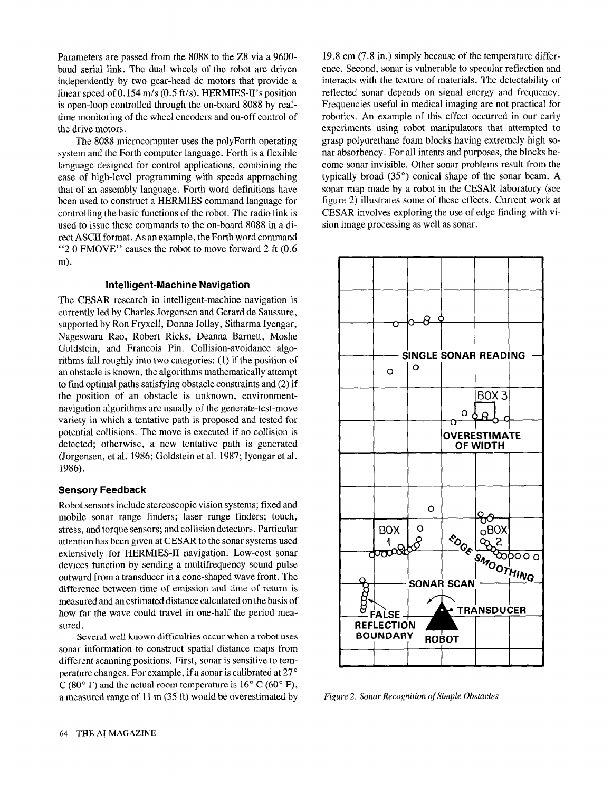Parameters are passed from the 8088 to the 28 via a 9600 baud serial link. The dual wheels of the robot are driven independently by two gear-head dc motors that provide a linear speed of 0.154 m/s (0.5 ft/s). HERMIES-II's position is open-loop controlled through the on-board 8088 by realtime monitoring of the wheel encoders and on-off control of the drive motors.

The 8088 microcomputer uses the polyForth operating system and the Forth computer language. Forth is a flexible language designed for control applications, combining the ease of high-level programming with speeds approaching that of an assembly language. Forth word definitions have been used to construct a HERMIES command language for controlling the basic functions of the robot. The radio link is used to issue these commands to the on-board 8088 in a direct ASCII format. As an example, the Forth word command "2 0 FMOVE" causes the robot to move forward 2 ft (0.6 m).

## Intelligent-Machine Navigation

The CESAR research in intelligent-machine navigation is currently led by Charles Jorgensen and Gerard de Saussure, supported by Ron Fryxell, Donna Jollay, Sitharma Iyengar, Nageswara Rao, Robert Ricks, Deanna Barnett, Moshe Goldstein, and Francois Pin. Collision-avoidance algorithms fall roughly into two categories: (1) if the position of an obstacle is known, the algorithms mathematically attempt to find optimal paths satisfying obstacle constraints and (2) if the position of an obstacle is unknown, environmentnavigation algorithms are usually of the generate-test-move variety in which a tentative path is proposed and tested for potential collisions. The move is executed if no collision is detected; otherwise, a new tentative path is generated (Jorgensen, et al. 1986; Goldstein et al. 1987; Iyengar et al. 1986).

## Sensory Feedback

Robot sensors include stereoscopic vision systems; fixed and mobile sonar range finders; laser range finders; touch, stress, and torque sensors; and collision detectors. Particular attention has been given at CESAR to the sonar systems used extensively for HERMIES-II navigation. Low-cost sonar devices function by sending a multifrequency sound pulse outward from a transducer in a cone-shaped wave front. The difference between time of emission and time of return is measured and an estimated distance calculated on the basis of how far the wave could travel in one-half the period measured.

Several well known difficulties occur when a robot uses sonar information to construct spatial distance maps from different scanning positions. First, sonar is sensitive to temperature changes. For example, if a sonar is calibrated at 27 '  $C (80^{\circ} \text{ F})$  and the actual room temperature is  $16^{\circ} C (60^{\circ} \text{ F})$ , a measured range of 11 m (35 ft) would be overestimated by

19.8 cm (7.8 in.) simply because of the temperature difference. Second, sonar is vulnerable to specular reflection and interacts with the texture of materials. The detectability of reflected sonar depends on signal energy and frequency. Frequencies useful in medical imaging are not practical for robotics. An example of this effect occurred in our early experiments using robot manipulators that attempted to grasp polyurethane foam blocks having extremely high sonar absorbency. For all intents and purposes, the blocks become sonar invisible. Other sonar problems result from the typically broad (35") conical shape of the sonar beam. A sonar map made by a robot in the CESAR laboratory (see figure 2) illustrates some of these effects. Current work at CESAR involves exploring the use of edge finding with vision image processing as well as sonar.



Figure 2. Sonar Recognition of Simple Obstacles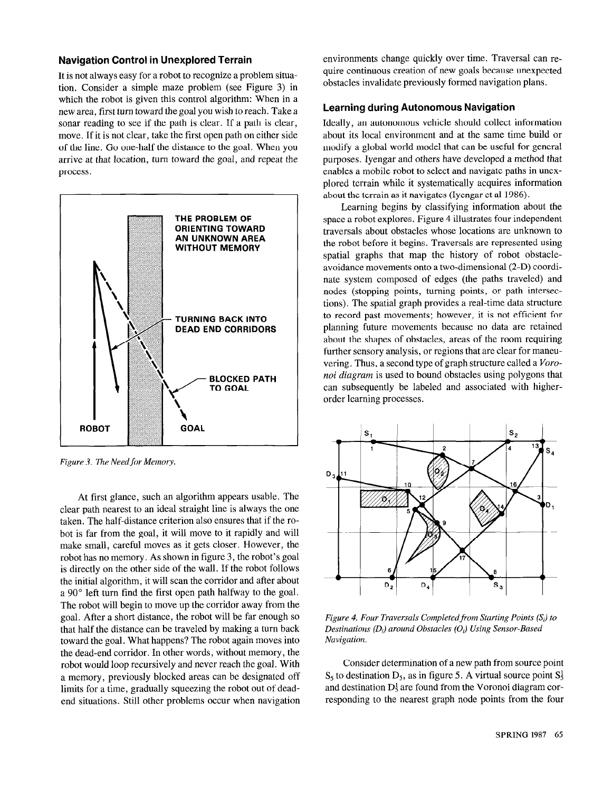## Navigation Control in Unexplored Terrain

It is not always easy for a robot to recognize a problem situation. Consider a simple maze problem (see Figure 3) in which the robot is given this control algorithm: When in a new area, first turn toward the goal you wish to reach. Take a sonar reading to see if the path is clear. If a path is clear, move. If it is not clear, take the first open path on either side of the line. Go one-half the distance to the goal. When you arrive at that location, turn toward the goal, and repeat the process.



Figure 3. The Need for Memory.

At first glance, such an algorithm appears usable. The clear path nearest to an ideal straight line is always the one taken. The half-distance criterion also ensures that if the robot is far from the goal, it will move to it rapidly and will make small, careful moves as it gets closer. However, the robot has no memory. As shown in figure 3, the robot's goal is directly on the other side of the wall. If the robot follows the initial algorithm, it will scan the corridor and after about a 90" left turn find the first open path halfway to the goal. The robot will begin to move up the corridor away from the goal. After a short distance, the robot will be far enough so that half the distance can be traveled by making a turn back toward the goal. What happens? The robot again moves into the dead-end corridor. In other words, without memory, the robot would loop recursively and never reach the goal. With a memory, previously blocked areas can be designated off limits for a time, gradually squeezing the robot out of deadend situations. Still other problems occur when navigation environments change quickly over time. Traversal can require continuous creation of new goals because unexpected obstacles invalidate previously formed navigation plans.

## Learning during Autonomous Navigation

Ideally, an autonomous vehicle should collect information about its local environment and at the same time build or modify a global world model that can be useful for general purposes. Iyengar and others have developed a method that enables a mobile robot to select and navigate paths in unexplored terrain while it systematically acquires information about the terrain as it navigates (Iyengar et al 1986).

Learning begins by classifying information about the space a robot explores. Figure 4 illustrates four independent traversals about obstacles whose locations are unknown to the robot before it begins. Traversals are represented using spatial graphs that map the history of robot obstacleavoidance movements onto a two-dimensional (2-D) coordinate system composed of edges (the paths traveled) and nodes (stopping points, turning points, or path intersections). The spatial graph provides a real-time data structure to record past movements; however, it is not efficient for planning future movements because no data are retained about the shapes of obstacles, areas of the room requiring further sensory analysis, or regions that are clear for maneuvering. Thus, a second type of graph structure called a *Voro*noi diagram is used to bound obstacles using polygons that can subsequently be labeled and associated with higherorder learning processes.



Figure 4. Four Traversals Completed from Starting Points  $(S_i)$  to Destinations  $(D_i)$  around Obstacles  $(O_i)$  Using Sensor-Based Navigation.

Consider determination of a new path from source point  $S_5$  to destination  $D_5$ , as in figure 5. A virtual source point  $S_5<sup>1</sup>$ and destination  $D_5^1$  are found from the Voronoi diagram corresponding to the nearest graph node points from the four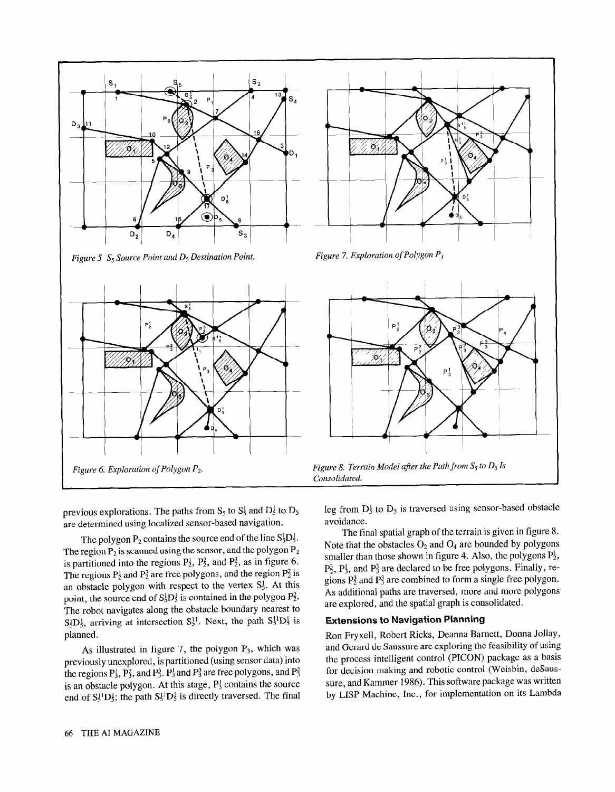





previous explorations. The paths from  $S_5$  to  $S_5$  and  $D_5$  to  $D_5$ are determined using localized sensor-based navigation.

The polygon  $P_2$  contains the source end of the line  $S_3^1D_5^1$ . The region  $P_2$  is scanned using the sensor, and the polygon  $P_2$ is partitioned into the regions  $P_2^1$ ,  $P_2^2$ , and  $P_2^3$ , as in figure 6. The regions  $P_2^1$  and  $P_2^3$  are free polygons, and the region  $P_2^2$  is an obstacle polygon with respect to the vertex  $S_5^1$ . At this point, the source end of  $S_5^1D_5^1$  is contained in the polygon  $P_2^2$ . The robot navigates along the obstacle boundary nearest to  $S_5^1D_5^1$ , arriving at intersection  $S_5^{11}$ . Next, the path  $S_5^{11}D_5^1$  is planned.

As illustrated in figure 7, the polygon  $P_3$ , which was previously unexplored, is partitioned (using sensor data) into the regions  $P_3^1$ ,  $P_3^2$ , and  $P_3^3$ .  $P_3^1$  and  $P_3^3$  are free polygons, and  $P_3^2$ is an obstacle polygon. At this stage,  $P_3^1$  contains the source end of  $S_5^1D_5^1$ ; the path  $S_5^1D_5^1$  is directly traversed. The final leg from  $D_5^1$  to  $D_5$  is traversed using sensor-based obstacle avoidance.

The final spatial graph of the terrain is given in figure 8. Note that the obstacles  $O_2$  and  $O_4$  are bounded by polygons smaller than those shown in figure 4. Also, the polygons  $P_2^1$ ,  $P_2^3$ ,  $P_3^1$ , and  $P_3^3$  are declared to be free polygons. Finally, regions  $P_2^3$  and  $P_3^3$  are combined to form a single free polygon. As additional paths are traversed, more and more polygons are explored, and the spatial graph is consolidated.

#### Extensions to Navigation Planning

Ron Fryxell, Robert Ricks, Deanna Barnett, Donna Jollay, and Gerard de Saussure are exploring the feasibility of using the process intelligent control (PICON) package as a basis for decision making and robotic control (Weisbin, deSaussure, and Kammer 1986). This software package was written by LISP Machine, Inc., for implementation on its Lambda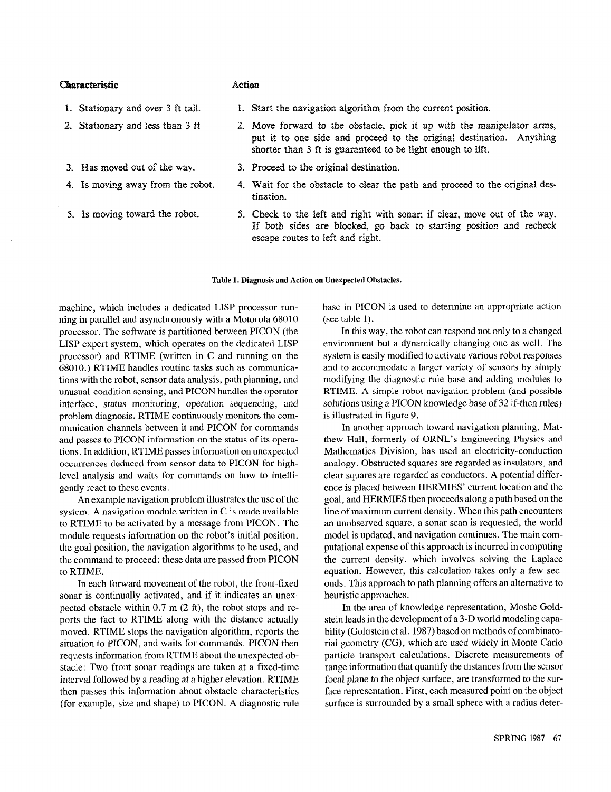## Characteristic

## ACtiOR

- 1. Stationary and over 3 ft tall.
- 2. Stationary and less than 3 ft
- 3. Has moved out of the way.
- 4. Is moving away from the robot.
- 5. Hs moving toward the robot.
- 1. Start the navigation algorithm from the current position.
- 2. Move forward to the obstacle, pick it up with the manipulator arms, put it to one side and proceed to the original destination. Anything shorter than 3 ft is guaranteed to be light enough to lift.
- 3. Proceed to the original destination.
- 4. Wait for the obstacle to clear the path and proceed to the original destination.
- 5. Check to the left and right with sonar; if clear, move out of the way. If both sides are blocked, go back to starting position and recheck escape routes to left and right.

#### Table 1. Diagnosis and Action on Unexpected Obstacles.

machine, which includes a dedicated LISP processor running in parallel and asynchronously with a Motorola 68010 processor. The software is partitioned between PICON (the LISP expert system, which operates on the dedicated LISP processor) and RTIME (written in C and running on the 68010.) RTIME handles routine tasks such as communications with the robot, sensor data analysis, path planning, and unusual-condition sensing, and PICON handles the operator interface, status monitoring, operation sequencing, and problem diagnosis. RTIME continuously monitors the communication channels between it and PICON for commands and passes to PICON information on the status of its operations. In addition, RTIME passes information on unexpected occurrences deduced from sensor data to PICON for highlevel analysis and waits for commands on how to intelligently react to these events.

An example navigation problem illustrates the use of the system. A navigation module written in  $C$  is made available to RTIME to be activated by a message from PICON. The module requests information on the robot's initial position, the goal position, the navigation algorithms to be used, and the command to proceed; these data are passed from PICON to RTIME.

In each forward movement of the robot, the front-fixed sonar is continually activated, and if it indicates an unexpected obstacle within 0.7 m (2 ft), the robot stops and reports the fact to RTIME along with the distance actually moved. RTIME stops the navigation algorithm, reports the situation to PICON, and waits for commands. PICON then requests information from RTIME about the unexpected obstacle: Two front sonar readings are taken at a fixed-time interval followed by a reading at a higher elevation. RTIME then passes this information about obstacle characteristics (for example, size and shape) to PICON. A diagnostic rule base in PICON is used to determine an appropriate action (see table 1).

In this way, the robot can respond not only to a changed environment but a dynamically changing one as well. The system is easily modified to activate various robot responses and to accommodate a larger variety of sensors by simply modifying the diagnostic rule base and adding modules to RTIME. A simple robot navigation problem (and possible solutions using a PICON knowledge base of 32 if-then rules) is illustrated in figure 9.

In another approach toward navigation planning, Matthew Hall, formerly of ORNL's Engineering Physics and Mathematics Division, has used an electricity-conduction analogy. Obstructed squares are regarded as insulators, and clear squares are regarded as conductors. A potential difference is placed between HERMIES' current location and the goal, and HERMIES then proceeds along a path based on the line of maximum current density. When this path encounters an unobserved square, a sonar scan is requested, the world model is updated, and navigation continues. The main computational expense of this approach is incurred in computing the current density, which involves solving the Laplace equation. However, this calculation takes only a few seconds. This approach to path planning offers an alternative to heuristic approaches.

In the area of knowledge representation, Moshe Goldstein leads in the development of a 3-D world modeling capability (Goldstein et al. 1987) based on methods of combinatorial geometry (CG), which are used widely in Monte Carlo particle transport calculations. Discrete measurements of range information that quantify the distances from the sensor focal plane to the object surface, are transformed to the surface representation. First, each measured point on the object surface is surrounded by a small sphere with a radius deter-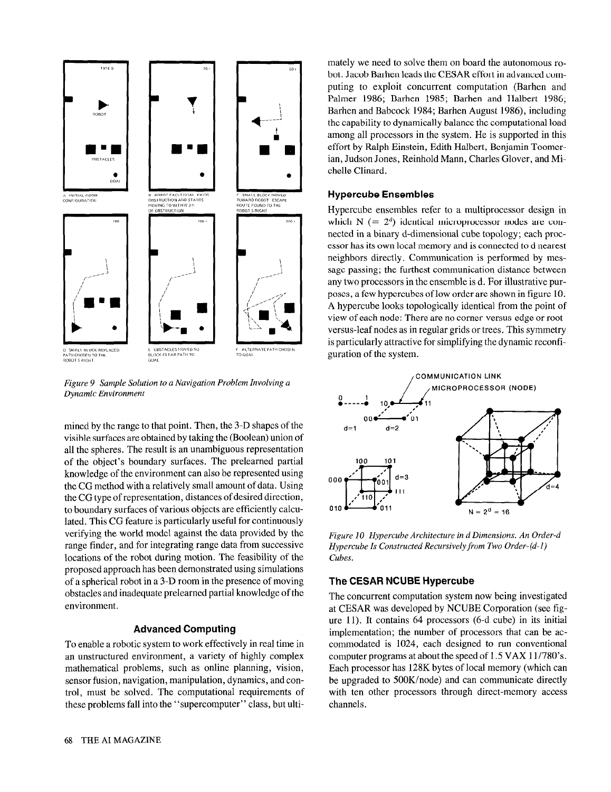

Figure 9 Sample Solution to a Navigation Problem Involving a Dynamic Environment

mined by the range to that point. Then, the 3-D shapes of the visible surfaces are obtained by taking the (Boolean) union of all the spheres. The result is an unambiguous representation of the object's boundary surfaces. The prelearned partial knowledge of the environment can also be represented using the CC method with a relatively small amount of data. Using the CG type of representation, distances of desired direction, to boundary surfaces of various objects are efficiently calculated. This CG feature is particularly useful for continuously verifying the world model against the data provided by the range finder, and for integrating range data from successive locations of the robot during motion. The feasibility of the proposed approach has been demonstrated using simulations of a spherical robot in a 3-D room in the presence of moving obstacles and inadequate prelearned partial knowledge of the environment.

## Advanced Computing

To enable a robotic system to work effectively in real time in an unstructured environment, a variety of highly complex mathematical problems, such as online planning, vision, sensor fusion, navigation, manipulation, dynamics, and control, must be solved. The computational requirements of these problems fall into the "supercomputer" class, but ultimately we need to solve them on board the autonomous robot. Jacob Barhen leads the CESAR effort in advanced computing to exploit concurrent computation (Barhen and Palmer 1986; Barhen 1985; Barhen and Halbert 1986; Barhen and Babcock 1984; Barhen August 1986), including the capability to dynamically balance the computational load among all processors in the system. He is supported in this effort by Ralph Einstein, Edith Halbert, Benjamin Toomerian, Judson Jones, Reinhold Mann, Charles Glover, and Michelle Clinard.

## Hypercube Ensembles

Hypercube ensembles refer to a multiprocessor design in which  $N$  (=  $2<sup>d</sup>$ ) identical microprocessor nodes are connected in a binary d-dimensional cube topology; each processor has its own local memory and is connected to d nearest neighbors directly. Communication is performed by message passing; the furthest communication distance between any two processors in the ensemble is d. For illustrative purposes, a few hypercubes of low order are shown in figure 10. A hypercube looks topologically identical from the point of view of each node: There are no corner-versus-edge or rootversus-leaf nodes as in regular grids or trees. This symmetry is particularly attractive for simplifying the dynamic reconfiguration of the system.



Figure 10 Hypercube Architecture in d Dimensions. An Order-d Hypercube Is Constructed Recursively from Two Order-(d-l) Cubes.

## The CESAR NCUBE Hypercube

The concurrent computation system now being investigated at CESAR was developed by NCUBE Corporation (see figure 11). lt contains 64 processors (6-d cube) in its initial implementation; the number of processors that can be accommodated is 1024, each designed to run conventional computer programs at about the speed of 1.5 VAX 11/78O's. Each processor has 128K bytes of local memory (which can be upgraded to SOOK/node) and can communicate directly with ten other processors through direct-memory access channels.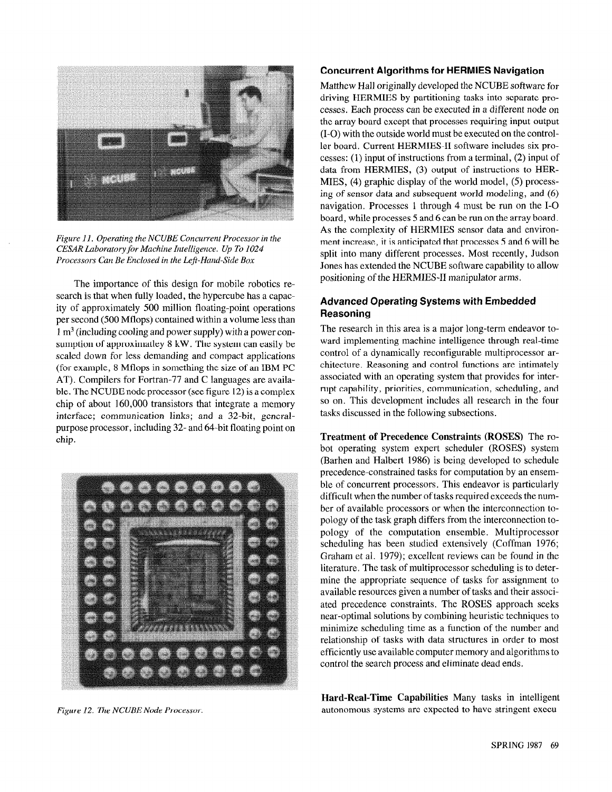

Figure Il. Operating the NCUBE Concurrent Processor in the CESAR Laboratory for Machine Intelligence. Up To 1024 Processors Can Be Enclosed in the Left-Hand-Side Box

The importance of this design for mobile robotics research is that when fully loaded, the hypercube has a capacity of approximately 500 million floating-point operations per second (500 Mflops) contained within a volume less than  $1 \text{ m}^3$  (including cooling and power supply) with a power consumption of approximatley 8 kW. The system can easily be scaled down for less demanding and compact applications (for example, 8 Mflops in something the size of an IBM PC AT). Compilers for Fortran-77 and C languages are available. The NCUBE node processor (see figure 12) is a complex chip of about 160,000 transistors that integrate a memory interface; communication links; and a 32-bit, generalpurpose processor, including 32- and 64-bit floating point on chip.



Figure 12. The NCUBE Node Processor.

## Concurrent Algorithms for HERMIES Navigation

Matthew Hall originally developed the NCUBE software for driving HERMIES by partitioning tasks into separate processes. Each process can be executed in a different node on the array board except that processes requiring input-output (I-O) with the outside world must be executed on the controller board. Current HERMIES-II software includes six processes: (1) input of instructions from a terminal, (2) input of data from HERMIES, (3) output of instructions to HER-MIES, (4) graphic display of the world model, (5) processing of sensor data and subsequent world modeling, and (6) navigation, Processes 1 through 4 must be run on the I-O board, while processes 5 and 6 can be run on the array board. As the complexity of HERMIES sensor data and environment increase, it is anticipated that processes 5 and 6 will be split into many different processes. Most recently, Judson Jones has extended the NCUBE software capability to allow positioning of the HERMIES-II manipulator arms.

## Advanced Operating Systems with Embedded Reasoning

The research in this area is a major long-term endeavor toward implementing machine intelligence through real-time control of a dynamically reconfigurable multiprocessor architecture. Reasoning and control functions are intimately associated with an operating system that provides for interrupt capability, priorities, communication, scheduling, and so on. This development includes all research in the four tasks discussed in the following subsections.

Treatment of Precedence Constraints (ROSES) The robot operating system expert scheduler (ROSES) system (Barhen and Halbert 1986) is being developed to schedule precedence-constrained tasks for computation by an ensemble of concurrent processors. This endeavor is particularly difficult when the number of tasks required exceeds the number of available processors or when the interconnection topology of the task graph differs from the interconnection topology of the computation ensemble. Multiprocessor scheduling has been studied extensively (Coffman 1976; Graham et al. 1979); excellent reviews can be found in the literature. The task of multiprocessor scheduling is to determine the appropriate sequence of tasks for assignment to available resources given a number of tasks and their associated precedence constraints. The ROSES approach seeks near-optimal solutions by combining heuristic techniques to minimize scheduling time as a function of the number and relationship of tasks with data structures in order to most efficiently use available computer memory and algorithms to control the search process and eliminate dead ends.

Hard-Real-Time Capabilities Many tasks in intelligent autonomous systems are expected to have stringent execu-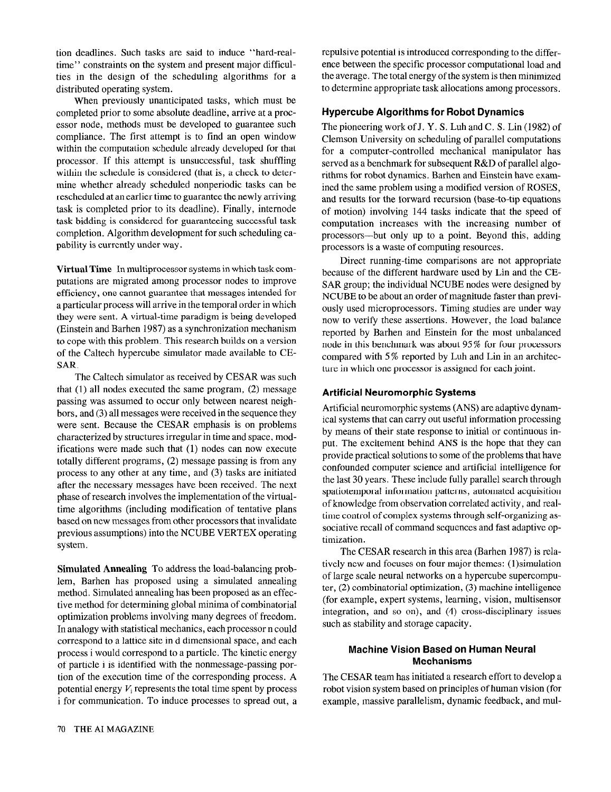tion deadlines. Such tasks are said to induce "hard-realtime" constraints on the system and present major difficulties in the design of the scheduling algorithms for a distributed operating system.

When previously unanticipated tasks, which must be completed prior to some absolute deadline, arrive at a processor node, methods must be developed to guarantee such compliance. The first attempt is to find an open window within the computation schedule already developed for that processor. If this attempt is unsuccessful, task shuffling within the schedule is considered (that is, a check to determine whether already scheduled nonperiodic tasks can be rescheduled at an earlier time to guarantee the newly arriving task is completed prior to its deadline). Finally, internode task bidding is considered for guaranteeing successful task completion. Algorithm development for such scheduling capability is currently under way.

Virtual Time In multiprocessor systems in which task computations are migrated among processor nodes to improve efficiency, one cannot guarantee that messages intended for a particular process will arrive in the temporal order in which they were sent. A virtual-time paradigm is being developed (Einstein and Barhen 1987) as a synchronization mechanism to cope with this problem. This research builds on a version of the Caltech hypercube simulator made available to CE-SAR.

The Caltech simulator as received by CESAR was such that (1) all nodes executed the same program, (2) message passing was assumed to occur only between nearest neighbors, and (3) all messages were received in the sequence they were sent. Because the CESAR emphasis is on problems characterized by structures irregular in time and space, modifications were made such that (1) nodes can now execute totally different programs, (2) message passing is from any process to any other at any time, and (3) tasks are initiated after the necessary messages have been received. The next phase of research involves the implementation of the virtualtime algorithms (including modification of tentative plans based on new messages from other processors that invalidate previous assumptions) into the NCUBE VERTEX operating system.

Simulated Annealing To address the load-balancing problem, Barhen has proposed using a simulated annealing method. Simulated annealing has been proposed as an effective method for determining global minima of combinatorial optimization problems involving many degrees of freedom. In analogy with statistical mechanics, each processor n could correspond to a lattice site in d dimensional space, and each process i would correspond to a particle. The kinetic energy of particle i is identified with the nonmessage-passing portion of the execution time of the corresponding process. A potential energy  $V_i$  represents the total time spent by process i for communication. To induce processes to spread out, a repulsive potential is introduced corresponding to the difference between the specific processor computational load and the average. The total energy of the system is then minimized to determine appropriate task allocations among processors.

## Hypercube Algorithms for Robot Dynamics

The pioneering work of J, Y, S, Luh and C, S, Lin  $(1982)$  of Clemson University on scheduling of parallel computations for a computer-controlled mechanical manipulator has served as a benchmark for subsequent R&D of parallel algorithms for robot dynamics. Barhen and Einstein have examined the same problem using a modified version of ROSES, and results for the forward recursion (base-to-tip equations of motion) involving 144 tasks indicate that the speed of computation increases with the increasing number of processors-but only up to a point. Beyond this, adding processors is a waste of computing resources.

Direct running-time comparisons are not appropriate because of the different hardware used by Lin and the CE-SAR group; the individual NCUBE nodes were designed by NCUBE to be about an order of magnitude faster than previously used microprocessors. Timing studies are under way now to verify these assertions. However, the load balance reported by Barhen and Einstein for the most unbalanced node in this benchmark was about 95 % for four processors compared with 5 % reported by Luh and Lin in an architecture in which one processor is assigned for each joint.

## Artificial Neuromorphic Systems

Artificial neuromorphic systems (ANS) are adaptive dynamical systems that can carry out useful information processing by means of their state response to initial or continuous input. The excitement behind ANS is the hope that they can provide practical solutions to some of the problems that have confounded computer science and artificial intelligence for the last 30 years. These include fully parallel search through spatiotemporal information patterns, automated acquisition of knowledge from observation correlated activity, and realtime control of complex systems through self-organizing associative recall of command sequences and fast adaptive optimization.

The CESAR research in this area (Barhen 1987) is relatively new and focuses on four major themes: (1)simulation of large scale neural networks on a hypercube supercomputer, (2) combinatorial optimization, (3) machine intelligence (for example, expert systems, learning, vision, multisensor integration, and so on), and (4) cross-disciplinary issues such as stability and storage capacity.

# Machine Vision Based on Human Neural Mechanisms

The CESAR team has initiated a research effort to develop a robot vision system based on principles of human vision (for example, massive parallelism, dynamic feedback, and mul-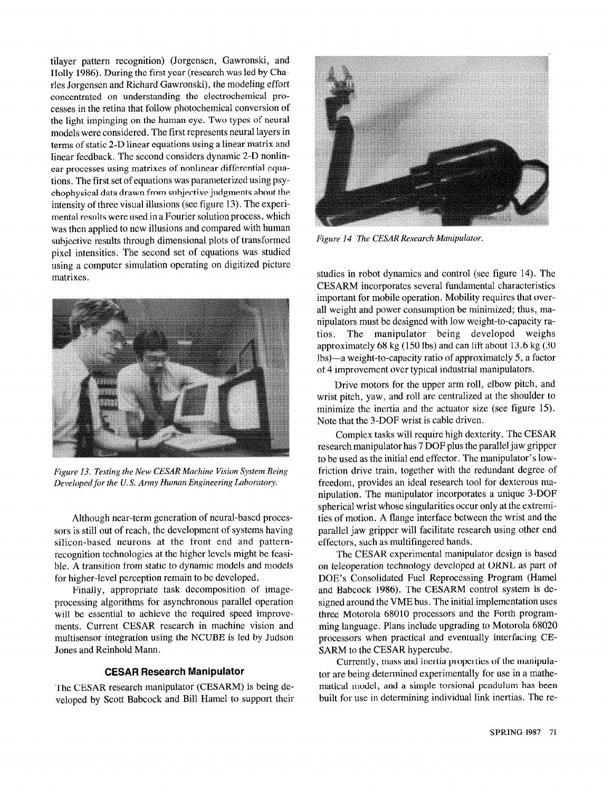tilayer pattern recognition) (Jorgensen, Gawronski, and Holly 1986). During the first year (research was led by Charles Jorgensen and Richard Gawronski), the modeling effort concentrated on understanding the electrochemical processes in the retina that follow photochemical conversion of the light impinging on the human eye. Two types of neural models were considered. The first represents neural layers in terms of static 2-D linear equations using a linear matrix and linear feedback. The second considers dynamic 2-D nonlinear processes using matrixes of nonlinear differential equations. The first set of equations was parameterized using psychophysical data drawn from subjective judgments about the intensity of three visual illusions (see figure 13). The experimental results were used in a Fourier solution process, which was then applied to new illusions and compared with human subjective results through dimensional plots of transformed pixel intensities. The second set of equations was studied using a computer simulation operating on digitized picture matrixes.



Figure 13. Testing the New CESAR Machine Vision System Being Developed for the U. S. Army Human Engineering laboratory.

Although near-term generation of neural-based processors is still out of reach, the development of systems having silicon-based neurons at the front end and patternrecognition technologies at the higher levels might be feasible. A transition from static to dynamic models and models for higher-level perception remain to be developed.

Finally, appropriate task decomposition of imageprocessing algorithms for asynchronous parallel operation will be essential to achieve the required speed improvements. Current CESAR research in machine vision and multisensor integration using the NCUBE is led by Judson Jones and Reinhold Mann.

## CESAR Research Manipulator

The CESAR research manipulator (CESARM) is being developed by Scott Babcock and Bill Hamel to support their



Figure 14 The CESAR Research Manipulator.

studies in robot dynamics and control (see figure 14). The CESARM incorporates several fundamental characteristics important for mobile operation. Mobility requires that overall weight and power consumption be minimized; thus, manipulators must be designed with low weight-to-capacity ratios. The manipulator being developed weighs approximately 68 kg (150 lbs) and can lift about 13.6 kg (30 lbs)-a weight-to-capacity ratio of approximately 5, a factor of 4 improvement over typical industrial manipulators.

Drive motors for the upper arm roll, elbow pitch, and wrist pitch, yaw, and roll are centralized at the shoulder to minimize the inertia and the actuator size (see figure 15). Note that the 3-DOF wrist is cable driven.

Complex tasks will require high dexterity. The CESAR research manipulator has 7 DOF plus the parallel jaw gripper to be used as the initial end effector. The manipulator's lowfriction drive train, together with the redundant degree of freedom, provides an ideal research tool for dexterous manipulation. The manipulator incorporates a unique 3-DOF spherical wrist whose singularities occur only at the extremities of motion. A flange interface between the wrist and the parallel jaw gripper will facilitate research using other end effecters, such as multifingered hands.

The CESAR experimental manipulator design is based on teleoperation technology developed at ORNL as part of DOE's Consolidated Fuel Reprocessing Program (Hamel and Babcock 1986). The CESARM control system is designed around the VME bus. The initial implementation uses three Motorola 68010 processors and the Forth programming language. Plans include upgrading to Motorola 68020 processors when practical and eventually interfacing CE-SARM to the CESAR hypercube.

Currently, mass and inertia properties of the manipulator are being determined experimentally for use in a mathematical model, and a simple torsional pendulum has been built for use in determining individual link inertias. The re-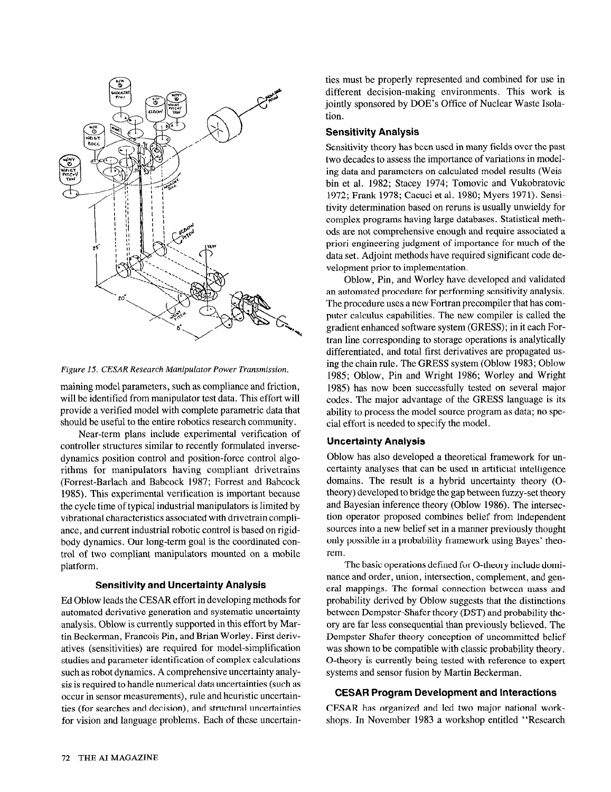

Figure 15. CESAR Research Manipulator Power Transmission.

maining model parameters, such as compliance and friction, will be identified from manipulator test data. This effort will provide a verified model with complete parametric data that should be useful to the entire robotics research community.

Near-term plans include experimental verification of controller structures similar to recently formulated inversedynamics position control and position-force control algorithms for manipulators having compliant drivetrains (Forrest-Barlach and Babcock 1987; Forrest and Babcock 1985). This experimental verification is important because the cycle time of typical industrial manipulators is limited by vibrational characteristics associated with drivetrain compliance, and current industrial robotic control is based on rigidbody dynamics. Our long-term goal is the coordinated control of two compliant manipulators mounted on a mobile platform.

#### Sensitivity and Uncertainty Analysis

Ed Oblow leads the CESAR effort in developing methods for automated derivative generation and systematic uncertainty analysis. Oblow is currently supported in this effort by Martin Beckerman, Francois Pin, and Brian Worley. First derivatives (sensitivities) are required for model-simplification studies and parameter identification of complex calculations such as robot dynamics. A comprehensive uncertainty analysis is required to handle numerical data uncertainties (such as occur in sensor measurements), rule and heuristic uncertainties (for searches and decision), and structural uncertainties for vision and language problems. Each of these uncertainties must be properly represented and combined for use in different decision-making environments. This work is jointly sponsored by DOE's Office of Nuclear Waste Isolation.

## Sensitivity Analysis

Sensitivity theory has been used in many fields over the past two decades to assess the importance of variations in modeling data and parameters on calculated model results (Weisbin et al. 1982; Stacey 1974; Tomovic and Vukobratovic 1972; Frank 1978; Cacuci et al. 1980; Myers 1971). Sensitivity determination based on reruns is usually unwieldy for complex programs having large databases. Statistical methods are not comprehensive enough and require associated a priori engineering judgment of importance for much of the data set. Adjoint methods have required significant code development prior to implementation.

Oblow, Pin, and Worley have developed and validated an automated procedure for performing sensitivity analysis. The procedure uses a new Fortran precompiler that has computer calculus capabilities. The new compiler is called the gradient enhanced software system (GRESS); in it each Fortran line corresponding to storage operations is analytically differentiated, and total first derivatives are propagated using the chain rule. The GRESS system (Oblow 1983; Oblow 1985; Oblow, Pin and Wright 1986; Worley and Wright 1985) has now been successfully tested on several major codes. The major advantage of the GRESS language is its ability to process the model source program as data; no special effort is needed to specify the model.

## Uncertainty Analysis

Oblow has also developed a theoretical framework for uncertainty analyses that can be used in artificial intelligence domains. The result is a hybrid uncertainty theory (Otheory) developed to bridge the gap between fuzzy-set theory and Bayesian inference theory (Oblow 1986). The intersection operator proposed combines belief from independent sources into a new belief set in a manner previously thought only possible in a probability framework using Bayes' theorem.

The basic operations defined for O-theory include dominance and order, union, intersection, complement, and general mappings. The formal connection between mass and probability derived by Oblow suggests that the distinctions between Dempster-Shafer theory (DST) and probability theory are far less consequential than previously believed. The Dempster-Shafer theory conception of uncommitted belief was shown to be compatible with classic probability theory. O-theory is currently being tested with reference to expert systems and sensor fusion by Martin Beckerman.

#### CESAR Program Development and Interactions

CESAR has organized and led two major national workshops. In November 1983 a workshop entitled "Research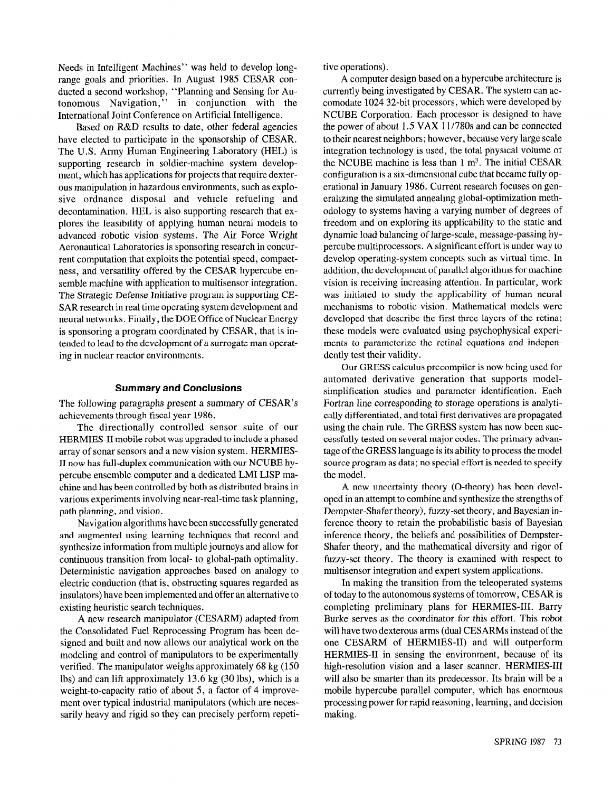Needs in Intelligent Machines" was held to develop longrange goals and priorities. In August 1985 CESAR conducted a second workshop, "Planning and Sensing for Autonomous Navigation," in conjunction with the International Joint Conference on Artificial Intelligence.

Based on R&D results to date, other federal agencies have elected to participate in the sponsorship of CESAR. The U.S. Army Human Engineering Laboratory (HEL) is supporting research in soldier-machine system development, which has applications for projects that require dexterous manipulation in hazardous environments, such as explosive ordnance disposal and vehicle refueling and decontamination. HEL is also supporting research that explores the feasibility of applying human neural models to advanced robotic vision systems. The Air Force Wright Aeronautical Laboratories is sponsoring research in concurrent computation that exploits the potential speed, compactness, and versatility offered by the CESAR hypercube ensemble machine with application to multisensor integration. The Strategic Defense Initiative program is supporting CE-SAR research in real time operating system development and neural networks. Finally, the DOE Office of Nuclear Energy is sponsoring a program coordinated by CESAR, that is intended to lead to the development of a surrogate man operating in nuclear reactor environments.

## Summary and Conclusions

The following paragraphs present a summary of CESAR's achievements through fiscal year 1986.

The directionally controlled sensor suite of our HERMIES-II mobile robot was upgraded to include a phased array of sonar sensors and a new vision system. HERMIES-II now has full-duplex communication with our NCUBE hypercube ensemble computer and a dedicated LMI LISP machine and has been controlled by both as distributed brains in various experiments involving near-real-time task planning, path planning, and vision.

Navigation algorithms have been successfully generated and augmented using learning techniques that record and synthesize information from multiple journeys and allow for continuous transition from local- to global-path optimality. Deterministic navigation approaches based on analogy to electric conduction (that is, obstructing squares regarded as insulators) have been implemented and offer an alternative to existing heuristic search techniques.

A new research manipulator (CESARM) adapted from the Consolidated Fuel Reprocessing Program has been designed and built and now allows our analytical work on the modeling and control of manipulators to be experimentally verified. The manipulator weighs approximately 68 kg (150 lbs) and can lift approximately 13.6 kg (30 lbs), which is a weight-to-capacity ratio of about 5, a factor of 4 improvement over typical industrial manipulators (which are necessarily heavy and rigid so they can precisely perform repetitive operations).

A computer design based on a hypercube architecture is currently being investigated by CESAR. The system can accomodate 1024 32-bit processors, which were developed by NCUBE Corporation. Each processor is designed to have the power of about 1.5 VAX 11/78Os and can be connected to their nearest neighbors; however, because very large scale integration technology is used, the total physical volume of the NCUBE machine is less than  $1 \text{ m}^3$ . The initial CESAR configuration is a six-dimensional cube that became fully operational in January 1986. Current research focuses on generalizing the simulated annealing global-optimization methodology to systems having a varying number of degrees of freedom and on exploring its applicability to the static and dynamic load balancing of large-scale, message-passing hypercube multiprocessors. A significant effort is under way to develop operating-system concepts such as virtual time. In addition, the development of parallel algorithms for machine vision is receiving increasing attention. In particular, work was initiated to study the applicability of human neural mechanisms to robotic vision. Mathematical models were developed that describe the first three layers of the retina; these models were evaluated using psychophysical experiments to parameterize the retinal equations and independently test their validity.

Our GRESS calculus precompiler is now being used for automated derivative generation that supports modelsimplification studies and parameter identification. Each Fortran line corresponding to storage operations is analytically differentiated, and total first derivatives are propagated using the chain rule. The GRESS system has now been successfully tested on several major codes. The primary advantage of the GRESS language is its ability to process the model source program as data; no special effort is needed to specify the model.

A new uncertainty theory (O-theory) has been developed in an attempt to combine and synthesize the strengths of Dempster-Shafer theory), fuzzy-set theory, and Bayesian inference theory to retain the probabilistic basis of Bayesian inference theory, the beliefs and possibilities of Dempster-Shafer theory, and the mathematical diversity and rigor of fuzzy-set theory. The theory is examined with respect to multisensor integration and expert system applications.

In making the transition from the teleoperated systems of today to the autonomous systems of tomorrow, CESAR is completing preliminary plans for HERMIES-III. Barry Burke serves as the coordinator for this effort. This robot will have two dexterous arms (dual CESARMs instead of the one CESARM of HERMIES-II) and will outperform HERMIES-II in sensing the environment, because of its high-resolution vision and a laser scanner. HERMIES-III will also be smarter than its predecessor. Its brain will be a mobile hypercube parallel computer, which has enormous processing power for rapid reasoning, learning, and decision making.